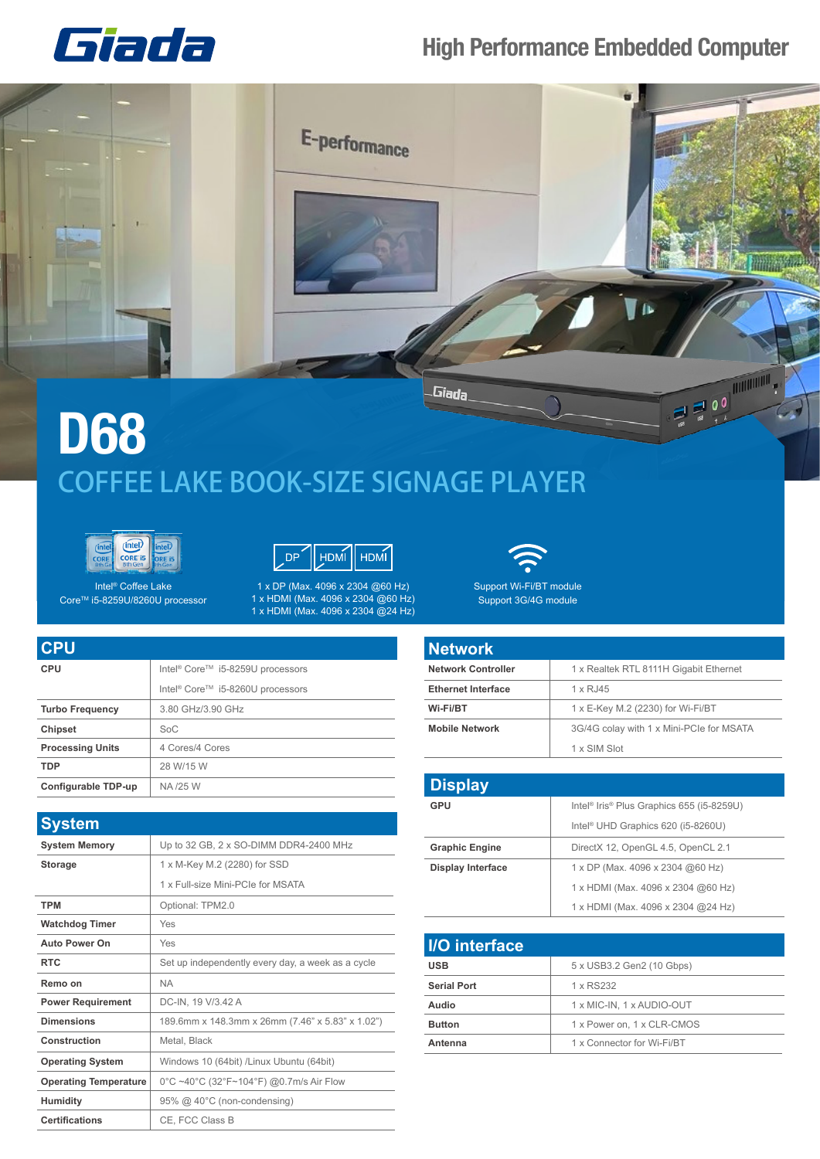

## **High Performance Embedded Computer**



## **D68** COFFEE LAKE BOOK-SIZE SIGNAGE PLAYER





Intel® Coffee Lake Core<sup>™</sup> i5-8259U/8260U processor

1 x DP (Max. 4096 x 2304 @60 Hz) 1 x HDMI (Max. 4096 x 2304 @60 Hz) 1 x HDMI (Max. 4096 x 2304 @24 Hz)



Support Wi-Fi/BT module Support 3G/4G module

| <b>CPU</b>              |                                                          |
|-------------------------|----------------------------------------------------------|
| CPU                     | Intel <sup>®</sup> Core <sup>™</sup> i5-8259U processors |
|                         | Intel <sup>®</sup> Core™ i5-8260U processors             |
| <b>Turbo Frequency</b>  | 3.80 GHz/3.90 GHz                                        |
| <b>Chipset</b>          | SoC                                                      |
| <b>Processing Units</b> | 4 Cores/4 Cores                                          |
| <b>TDP</b>              | 28 W/15 W                                                |
| Configurable TDP-up     | NA /25 W                                                 |

| <b>System</b>                |                                                   |
|------------------------------|---------------------------------------------------|
| <b>System Memory</b>         | Up to 32 GB, 2 x SO-DIMM DDR4-2400 MHz            |
| <b>Storage</b>               | 1 x M-Key M.2 (2280) for SSD                      |
|                              | 1 x Full-size Mini-PCIe for MSATA                 |
| <b>TPM</b>                   | Optional: TPM2.0                                  |
| <b>Watchdog Timer</b>        | Yes                                               |
| <b>Auto Power On</b>         | Yes                                               |
| <b>RTC</b>                   | Set up independently every day, a week as a cycle |
| Remo on                      | <b>NA</b>                                         |
| <b>Power Requirement</b>     | DC-IN, 19 V/3.42 A                                |
| <b>Dimensions</b>            | 189.6mm x 148.3mm x 26mm (7.46" x 5.83" x 1.02")  |
| Construction                 | Metal, Black                                      |
| <b>Operating System</b>      | Windows 10 (64bit) /Linux Ubuntu (64bit)          |
| <b>Operating Temperature</b> | 0°C ~40°C (32°F~104°F) @0.7m/s Air Flow           |
| <b>Humidity</b>              | 95% @ 40°C (non-condensing)                       |
| <b>Certifications</b>        | CE. FCC Class B                                   |

| <b>Network</b>            |                                          |
|---------------------------|------------------------------------------|
| <b>Network Controller</b> | 1 x Realtek RTL 8111H Gigabit Ethernet   |
| <b>Ethernet Interface</b> | 1 x RJ45                                 |
| Wi-Fi/BT                  | 1 x E-Key M.2 (2230) for Wi-Fi/BT        |
| <b>Mobile Network</b>     | 3G/4G colay with 1 x Mini-PCIe for MSATA |
|                           | 1 x SIM Slot                             |

| <b>Display</b>           |                                                                   |
|--------------------------|-------------------------------------------------------------------|
| GPU                      | Intel <sup>®</sup> Iris <sup>®</sup> Plus Graphics 655 (i5-8259U) |
|                          | Intel <sup>®</sup> UHD Graphics 620 (i5-8260U)                    |
| <b>Graphic Engine</b>    | DirectX 12, OpenGL 4.5, OpenCL 2.1                                |
| <b>Display Interface</b> | 1 x DP (Max. 4096 x 2304 @60 Hz)                                  |
|                          | 1 x HDMI (Max. 4096 x 2304 @60 Hz)                                |
|                          | 1 x HDMI (Max. 4096 x 2304 @24 Hz)                                |

| <b>I/O</b> interface |                            |
|----------------------|----------------------------|
| <b>USB</b>           | 5 x USB3.2 Gen2 (10 Gbps)  |
| <b>Serial Port</b>   | 1 x RS232                  |
| Audio                | 1 x MIC-IN, 1 x AUDIO-OUT  |
| <b>Button</b>        | 1 x Power on, 1 x CLR-CMOS |
| Antenna              | 1 x Connector for Wi-Fi/BT |